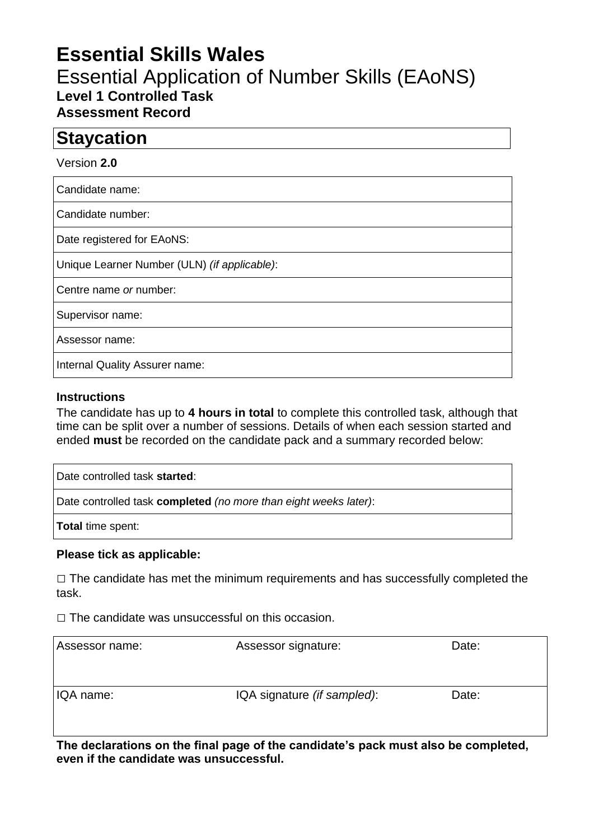# **Essential Skills Wales**

## Essential Application of Number Skills (EAoNS) **Level 1 Controlled Task Assessment Record**

## **Staycation**

#### Version **2.0**

Candidate name:

Candidate number:

Date registered for EAoNS:

Unique Learner Number (ULN) *(if applicable)*:

Centre name *or* number:

Supervisor name:

Assessor name:

Internal Quality Assurer name:

#### **Instructions**

The candidate has up to **4 hours in total** to complete this controlled task, although that time can be split over a number of sessions. Details of when each session started and ended **must** be recorded on the candidate pack and a summary recorded below:

Date controlled task **started**: Date controlled task **completed** *(no more than eight weeks later)*:

**Total** time spent:

#### **Please tick as applicable:**

 $\Box$  The candidate has met the minimum requirements and has successfully completed the task.

 $\Box$  The candidate was unsuccessful on this occasion.

| Assessor name: | Assessor signature:         | Date: |
|----------------|-----------------------------|-------|
| IQA name:      | IQA signature (if sampled): | Date: |

**The declarations on the final page of the candidate's pack must also be completed, even if the candidate was unsuccessful.**